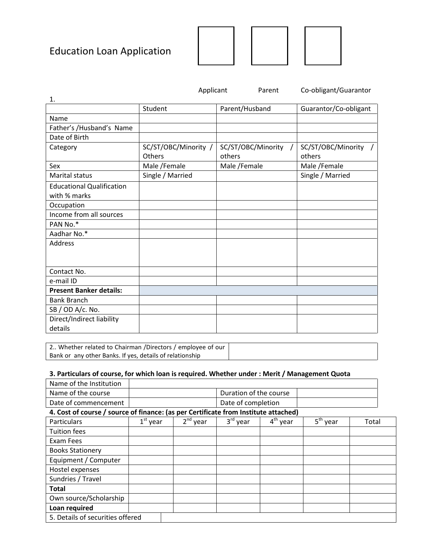# Education Loan Application



|                                                  | Applicant                      | Parent                       | Co-obligant/Guarantor          |  |
|--------------------------------------------------|--------------------------------|------------------------------|--------------------------------|--|
| 1.                                               |                                |                              |                                |  |
|                                                  | Student                        | Parent/Husband               | Guarantor/Co-obligant          |  |
| Name                                             |                                |                              |                                |  |
| Father's /Husband's Name                         |                                |                              |                                |  |
| Date of Birth                                    |                                |                              |                                |  |
| Category                                         | SC/ST/OBC/Minority /<br>Others | SC/ST/OBC/Minority<br>others | SC/ST/OBC/Minority /<br>others |  |
| Sex                                              | Male /Female                   | Male /Female                 | Male /Female                   |  |
| <b>Marital status</b>                            | Single / Married               |                              | Single / Married               |  |
| <b>Educational Qualification</b><br>with % marks |                                |                              |                                |  |
| Occupation                                       |                                |                              |                                |  |
| Income from all sources                          |                                |                              |                                |  |
| PAN No.*                                         |                                |                              |                                |  |
| Aadhar No.*                                      |                                |                              |                                |  |
| Address                                          |                                |                              |                                |  |
| Contact No.                                      |                                |                              |                                |  |
| e-mail ID                                        |                                |                              |                                |  |
| <b>Present Banker details:</b>                   |                                |                              |                                |  |
| <b>Bank Branch</b>                               |                                |                              |                                |  |
| SB / OD A/c. No.                                 |                                |                              |                                |  |
| Direct/Indirect liability<br>details             |                                |                              |                                |  |

| 2 Whether related to Chairman /Directors / employee of our |  |
|------------------------------------------------------------|--|
| Bank or any other Banks. If yes, details of relationship   |  |

## **3. Particulars of course, for which loan is required. Whether under : Merit / Management Quota**

| Name of the Institution                                                             |                        |            |            |            |            |       |
|-------------------------------------------------------------------------------------|------------------------|------------|------------|------------|------------|-------|
| Name of the course                                                                  | Duration of the course |            |            |            |            |       |
| Date of commencement                                                                | Date of completion     |            |            |            |            |       |
| 4. Cost of course / source of finance: (as per Certificate from Institute attached) |                        |            |            |            |            |       |
| Particulars                                                                         | $1st$ year             | $2nd$ year | $3rd$ year | $4th$ year | $5th$ year | Total |
| <b>Tuition fees</b>                                                                 |                        |            |            |            |            |       |
| Exam Fees                                                                           |                        |            |            |            |            |       |
| <b>Books Stationery</b>                                                             |                        |            |            |            |            |       |
| Equipment / Computer                                                                |                        |            |            |            |            |       |
| Hostel expenses                                                                     |                        |            |            |            |            |       |
| Sundries / Travel                                                                   |                        |            |            |            |            |       |
| <b>Total</b>                                                                        |                        |            |            |            |            |       |
| Own source/Scholarship                                                              |                        |            |            |            |            |       |
| Loan required                                                                       |                        |            |            |            |            |       |
| 5. Details of securities offered                                                    |                        |            |            |            |            |       |